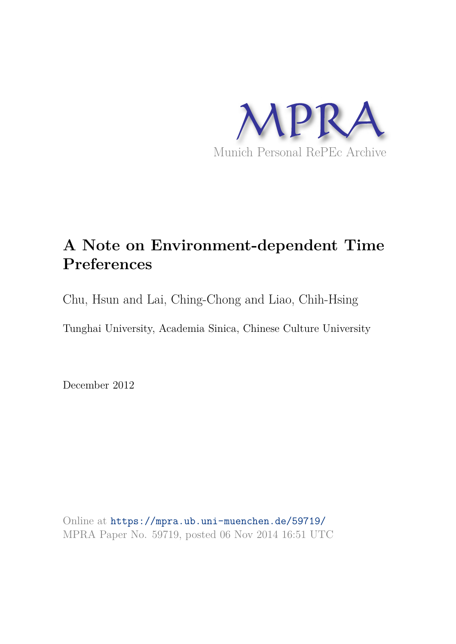

# **A Note on Environment-dependent Time Preferences**

Chu, Hsun and Lai, Ching-Chong and Liao, Chih-Hsing

Tunghai University, Academia Sinica, Chinese Culture University

December 2012

Online at https://mpra.ub.uni-muenchen.de/59719/ MPRA Paper No. 59719, posted 06 Nov 2014 16:51 UTC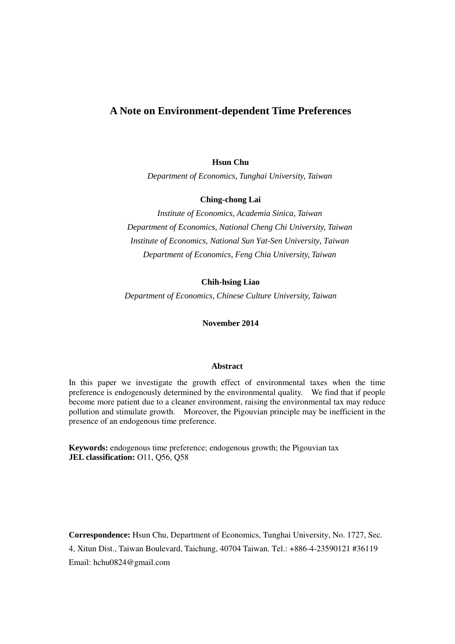# **A Note on Environment-dependent Time Preferences**

**Hsun Chu** 

*Department of Economics, Tunghai University, Taiwan*

**Ching-chong Lai** 

*Institute of Economics, Academia Sinica, Taiwan Department of Economics, National Cheng Chi University, Taiwan Institute of Economics, National Sun Yat-Sen University, Taiwan Department of Economics, Feng Chia University, Taiwan*

**Chih-hsing Liao** 

*Department of Economics, Chinese Culture University, Taiwan* 

**November 2014** 

#### **Abstract**

In this paper we investigate the growth effect of environmental taxes when the time preference is endogenously determined by the environmental quality. We find that if people become more patient due to a cleaner environment, raising the environmental tax may reduce pollution and stimulate growth. Moreover, the Pigouvian principle may be inefficient in the presence of an endogenous time preference.

**Keywords:** endogenous time preference; endogenous growth; the Pigouvian tax **JEL classification:** O11, Q56, Q58

**Correspondence:** Hsun Chu, Department of Economics, Tunghai University, No. 1727, Sec. 4, Xitun Dist., Taiwan Boulevard, Taichung, 40704 Taiwan. Tel.: +886-4-23590121 #36119 Email: hchu0824@gmail.com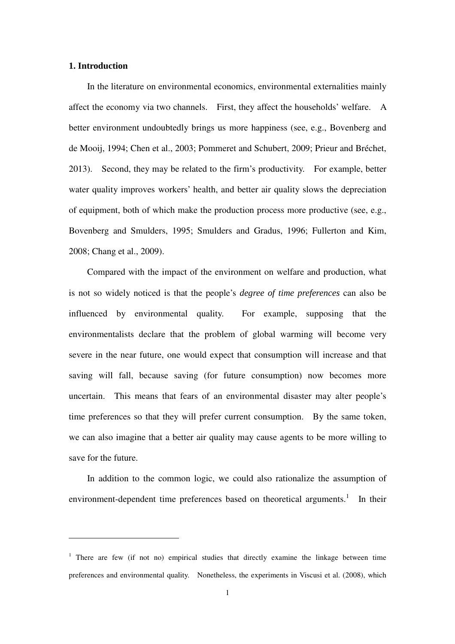## **1. Introduction**

 $\overline{a}$ 

In the literature on environmental economics, environmental externalities mainly affect the economy via two channels. First, they affect the households' welfare. A better environment undoubtedly brings us more happiness (see, e.g., Bovenberg and de Mooij, 1994; Chen et al., 2003; Pommeret and Schubert, 2009; Prieur and Bréchet, 2013). Second, they may be related to the firm's productivity. For example, better water quality improves workers' health, and better air quality slows the depreciation of equipment, both of which make the production process more productive (see, e.g., Bovenberg and Smulders, 1995; Smulders and Gradus, 1996; Fullerton and Kim, 2008; Chang et al., 2009).

 Compared with the impact of the environment on welfare and production, what is not so widely noticed is that the people's *degree of time preferences* can also be influenced by environmental quality. For example, supposing that the environmentalists declare that the problem of global warming will become very severe in the near future, one would expect that consumption will increase and that saving will fall, because saving (for future consumption) now becomes more uncertain. This means that fears of an environmental disaster may alter people's time preferences so that they will prefer current consumption. By the same token, we can also imagine that a better air quality may cause agents to be more willing to save for the future.

 In addition to the common logic, we could also rationalize the assumption of environment-dependent time preferences based on theoretical arguments.<sup>1</sup> In their

<sup>&</sup>lt;sup>1</sup> There are few (if not no) empirical studies that directly examine the linkage between time preferences and environmental quality. Nonetheless, the experiments in Viscusi et al. (2008), which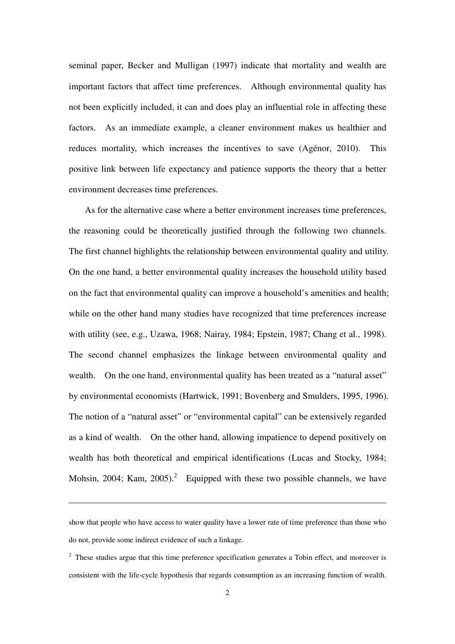seminal paper, Becker and Mulligan (1997) indicate that mortality and wealth are important factors that affect time preferences. Although environmental quality has not been explicitly included, it can and does play an influential role in affecting these factors. As an immediate example, a cleaner environment makes us healthier and reduces mortality, which increases the incentives to save (Agénor, 2010). This positive link between life expectancy and patience supports the theory that a better environment decreases time preferences.

 As for the alternative case where a better environment increases time preferences, the reasoning could be theoretically justified through the following two channels. The first channel highlights the relationship between environmental quality and utility. On the one hand, a better environmental quality increases the household utility based on the fact that environmental quality can improve a household's amenities and health; while on the other hand many studies have recognized that time preferences increase with utility (see, e.g., Uzawa, 1968; Nairay, 1984; Epstein, 1987; Chang et al., 1998). The second channel emphasizes the linkage between environmental quality and wealth. On the one hand, environmental quality has been treated as a "natural asset" by environmental economists (Hartwick, 1991; Bovenberg and Smulders, 1995, 1996). The notion of a "natural asset" or "environmental capital" can be extensively regarded as a kind of wealth. On the other hand, allowing impatience to depend positively on wealth has both theoretical and empirical identifications (Lucas and Stocky, 1984; Mohsin, 2004; Kam, 2005).<sup>2</sup> Equipped with these two possible channels, we have

show that people who have access to water quality have a lower rate of time preference than those who do not, provide some indirect evidence of such a linkage.

 $2$  These studies argue that this time preference specification generates a Tobin effect, and moreover is consistent with the life-cycle hypothesis that regards consumption as an increasing function of wealth.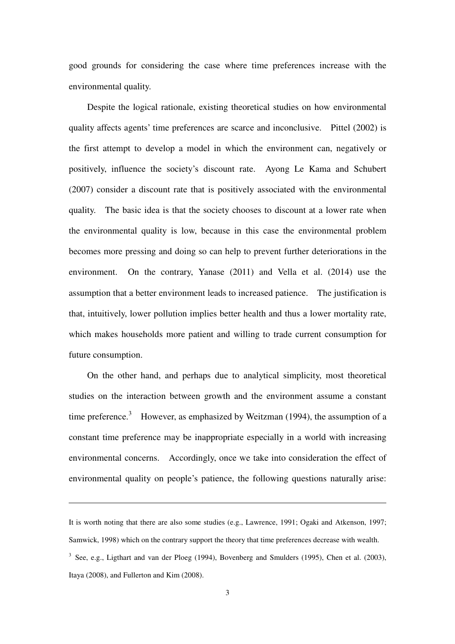good grounds for considering the case where time preferences increase with the environmental quality.

 Despite the logical rationale, existing theoretical studies on how environmental quality affects agents' time preferences are scarce and inconclusive. Pittel (2002) is the first attempt to develop a model in which the environment can, negatively or positively, influence the society's discount rate. Ayong Le Kama and Schubert (2007) consider a discount rate that is positively associated with the environmental quality. The basic idea is that the society chooses to discount at a lower rate when the environmental quality is low, because in this case the environmental problem becomes more pressing and doing so can help to prevent further deteriorations in the environment. On the contrary, Yanase (2011) and Vella et al. (2014) use the assumption that a better environment leads to increased patience. The justification is that, intuitively, lower pollution implies better health and thus a lower mortality rate, which makes households more patient and willing to trade current consumption for future consumption.

On the other hand, and perhaps due to analytical simplicity, most theoretical studies on the interaction between growth and the environment assume a constant time preference.<sup>3</sup> However, as emphasized by Weitzman (1994), the assumption of a constant time preference may be inappropriate especially in a world with increasing environmental concerns. Accordingly, once we take into consideration the effect of environmental quality on people's patience, the following questions naturally arise:

It is worth noting that there are also some studies (e.g., Lawrence, 1991; Ogaki and Atkenson, 1997; Samwick, 1998) which on the contrary support the theory that time preferences decrease with wealth.

 $3$  See, e.g., Ligthart and van der Ploeg (1994), Bovenberg and Smulders (1995), Chen et al. (2003), Itaya (2008), and Fullerton and Kim (2008).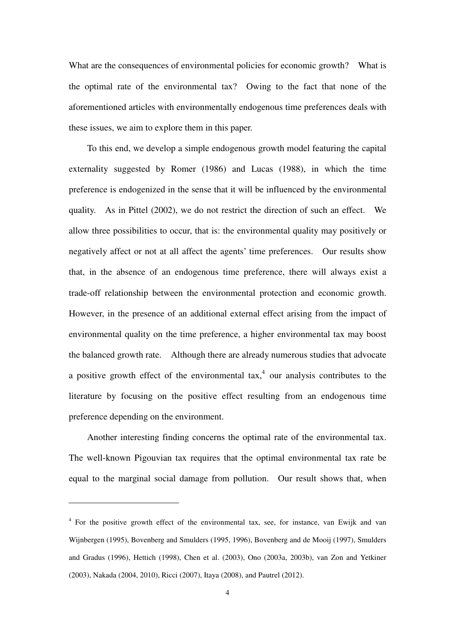What are the consequences of environmental policies for economic growth? What is the optimal rate of the environmental tax? Owing to the fact that none of the aforementioned articles with environmentally endogenous time preferences deals with these issues, we aim to explore them in this paper.

To this end, we develop a simple endogenous growth model featuring the capital externality suggested by Romer (1986) and Lucas (1988), in which the time preference is endogenized in the sense that it will be influenced by the environmental quality. As in Pittel (2002), we do not restrict the direction of such an effect. We allow three possibilities to occur, that is: the environmental quality may positively or negatively affect or not at all affect the agents' time preferences. Our results show that, in the absence of an endogenous time preference, there will always exist a trade-off relationship between the environmental protection and economic growth. However, in the presence of an additional external effect arising from the impact of environmental quality on the time preference, a higher environmental tax may boost the balanced growth rate. Although there are already numerous studies that advocate a positive growth effect of the environmental tax,<sup>4</sup> our analysis contributes to the literature by focusing on the positive effect resulting from an endogenous time preference depending on the environment.

 Another interesting finding concerns the optimal rate of the environmental tax. The well-known Pigouvian tax requires that the optimal environmental tax rate be equal to the marginal social damage from pollution. Our result shows that, when

<sup>&</sup>lt;sup>4</sup> For the positive growth effect of the environmental tax, see, for instance, van Ewijk and van Wijnbergen (1995), Bovenberg and Smulders (1995, 1996), Bovenberg and de Mooij (1997), Smulders and Gradus (1996), Hettich (1998), Chen et al. (2003), Ono (2003a, 2003b), van Zon and Yetkiner (2003), Nakada (2004, 2010), Ricci (2007), Itaya (2008), and Pautrel (2012).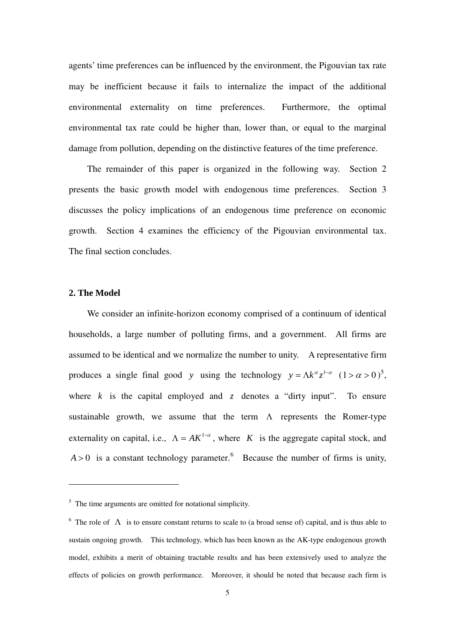agents' time preferences can be influenced by the environment, the Pigouvian tax rate may be inefficient because it fails to internalize the impact of the additional environmental externality on time preferences. Furthermore, the optimal environmental tax rate could be higher than, lower than, or equal to the marginal damage from pollution, depending on the distinctive features of the time preference.

 The remainder of this paper is organized in the following way. Section 2 presents the basic growth model with endogenous time preferences. Section 3 discusses the policy implications of an endogenous time preference on economic growth. Section 4 examines the efficiency of the Pigouvian environmental tax. The final section concludes.

# **2. The Model**

 $\overline{a}$ 

 We consider an infinite-horizon economy comprised of a continuum of identical households, a large number of polluting firms, and a government. All firms are assumed to be identical and we normalize the number to unity. A representative firm produces a single final good *y* using the technology  $y = \Lambda k^{\alpha} z^{1-\alpha}$   $(1 > \alpha > 0)^5$ , where  $k$  is the capital employed and  $z$  denotes a "dirty input". To ensure sustainable growth, we assume that the term  $\Lambda$  represents the Romer-type externality on capital, i.e.,  $\Lambda = AK^{1-\alpha}$ , where *K* is the aggregate capital stock, and  $A > 0$  is a constant technology parameter.<sup>6</sup> Because the number of firms is unity,

 $<sup>5</sup>$  The time arguments are omitted for notational simplicity.</sup>

<sup>&</sup>lt;sup>6</sup> The role of  $\Lambda$  is to ensure constant returns to scale to (a broad sense of) capital, and is thus able to sustain ongoing growth. This technology, which has been known as the AK-type endogenous growth model, exhibits a merit of obtaining tractable results and has been extensively used to analyze the effects of policies on growth performance. Moreover, it should be noted that because each firm is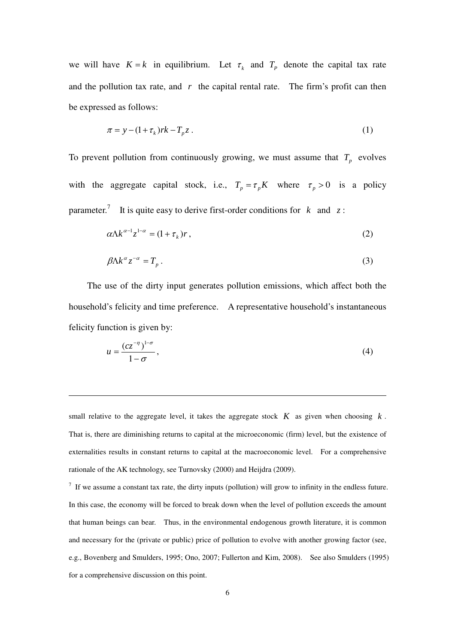we will have  $K = k$  in equilibrium. Let  $\tau_k$  and  $T_p$  denote the capital tax rate and the pollution tax rate, and  $r$  the capital rental rate. The firm's profit can then be expressed as follows:

$$
\pi = y - (1 + \tau_k)rk - T_p z. \tag{1}
$$

To prevent pollution from continuously growing, we must assume that  $T_p$  evolves with the aggregate capital stock, i.e.,  $T_p = \tau_p K$  where  $\tau_p > 0$  is a policy parameter.<sup>7</sup> It is quite easy to derive first-order conditions for  $k$  and  $z$ :

$$
\alpha \Lambda k^{\alpha - 1} z^{1 - \alpha} = (1 + \tau_k) r \,, \tag{2}
$$

$$
\beta \Lambda k^{\alpha} z^{-\alpha} = T_p \,. \tag{3}
$$

 The use of the dirty input generates pollution emissions, which affect both the household's felicity and time preference. A representative household's instantaneous felicity function is given by:

$$
u = \frac{(cz^{-\eta})^{1-\sigma}}{1-\sigma},
$$
\n(4)

small relative to the aggregate level, it takes the aggregate stock  $K$  as given when choosing  $k$ . That is, there are diminishing returns to capital at the microeconomic (firm) level, but the existence of externalities results in constant returns to capital at the macroeconomic level. For a comprehensive rationale of the AK technology, see Turnovsky (2000) and Heijdra (2009).

 $\overline{a}$ 

 $<sup>7</sup>$  If we assume a constant tax rate, the dirty inputs (pollution) will grow to infinity in the endless future.</sup> In this case, the economy will be forced to break down when the level of pollution exceeds the amount that human beings can bear. Thus, in the environmental endogenous growth literature, it is common and necessary for the (private or public) price of pollution to evolve with another growing factor (see, e.g., Bovenberg and Smulders, 1995; Ono, 2007; Fullerton and Kim, 2008). See also Smulders (1995) for a comprehensive discussion on this point.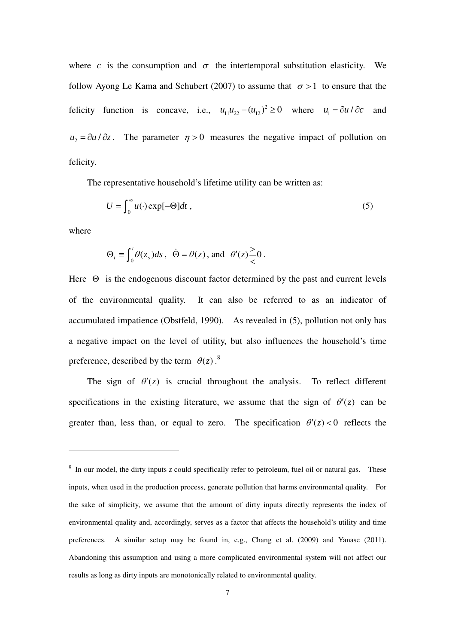where *c* is the consumption and  $\sigma$  the intertemporal substitution elasticity. We follow Ayong Le Kama and Schubert (2007) to assume that  $\sigma > 1$  to ensure that the felicity function is concave, i.e.,  $u_{11}u_{22} - (u_{12})^2 \ge 0$  where  $u_1 = \partial u / \partial c$  and  $u_2 = \partial u / \partial z$ . The parameter  $\eta > 0$  measures the negative impact of pollution on felicity.

The representative household's lifetime utility can be written as:

$$
U = \int_0^\infty u(\cdot) \exp[-\Theta] dt , \qquad (5)
$$

where

 $\overline{a}$ 

$$
\Theta_t \equiv \int_0^t \theta(z_s) ds
$$
,  $\dot{\Theta} = \theta(z)$ , and  $\theta'(z) \frac{>}{<} 0$ .

Here  $\Theta$  is the endogenous discount factor determined by the past and current levels of the environmental quality. It can also be referred to as an indicator of accumulated impatience (Obstfeld, 1990). As revealed in (5), pollution not only has a negative impact on the level of utility, but also influences the household's time preference, described by the term  $\theta(z)$ .<sup>8</sup>

The sign of  $\theta'(z)$  is crucial throughout the analysis. To reflect different specifications in the existing literature, we assume that the sign of  $\theta'(z)$  can be greater than, less than, or equal to zero. The specification  $\theta'(z) < 0$  reflects the

<sup>&</sup>lt;sup>8</sup> In our model, the dirty inputs *z* could specifically refer to petroleum, fuel oil or natural gas. These inputs, when used in the production process, generate pollution that harms environmental quality. For the sake of simplicity, we assume that the amount of dirty inputs directly represents the index of environmental quality and, accordingly, serves as a factor that affects the household's utility and time preferences. A similar setup may be found in, e.g., Chang et al. (2009) and Yanase (2011). Abandoning this assumption and using a more complicated environmental system will not affect our results as long as dirty inputs are monotonically related to environmental quality.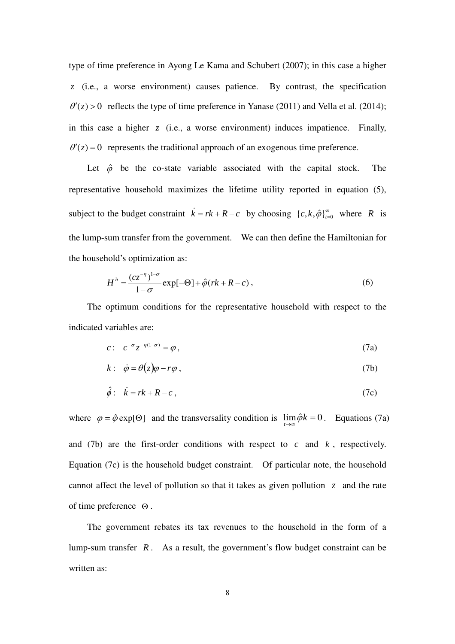type of time preference in Ayong Le Kama and Schubert (2007); in this case a higher *z* (i.e., a worse environment) causes patience. By contrast, the specification  $\theta'(z) > 0$  reflects the type of time preference in Yanase (2011) and Vella et al. (2014); in this case a higher  $z$  (i.e., a worse environment) induces impatience. Finally,  $\theta'(z) = 0$  represents the traditional approach of an exogenous time preference.

Let  $\hat{\varphi}$  be the co-state variable associated with the capital stock. The representative household maximizes the lifetime utility reported in equation (5), subject to the budget constraint  $\vec{k} = rk + R - c$  by choosing  $\{c, k, \hat{\varphi}\}_{r=0}^{\infty}$ where *R* is the lump-sum transfer from the government. We can then define the Hamiltonian for the household's optimization as:

$$
H^h = \frac{(cz^{-\eta})^{1-\sigma}}{1-\sigma} \exp[-\Theta] + \hat{\varphi}(rk + R - c), \qquad (6)
$$

The optimum conditions for the representative household with respect to the indicated variables are:

$$
c: c^{-\sigma} z^{-\eta(1-\sigma)} = \varphi, \tag{7a}
$$

$$
k: \dot{\phi} = \theta(z)\varphi - r\varphi , \qquad (7b)
$$

$$
\hat{\phi}: \quad \dot{k} = rk + R - c \,, \tag{7c}
$$

where  $\varphi = \hat{\varphi} \exp[\Theta]$  and the transversality condition is  $\lim_{t \to \infty} \hat{\varphi} k = 0$ . Equations (7a) and (7b) are the first-order conditions with respect to *c* and *k* , respectively. Equation (7c) is the household budget constraint. Of particular note, the household cannot affect the level of pollution so that it takes as given pollution *z* and the rate of time preference Θ .

The government rebates its tax revenues to the household in the form of a lump-sum transfer *R* . As a result, the government's flow budget constraint can be written as: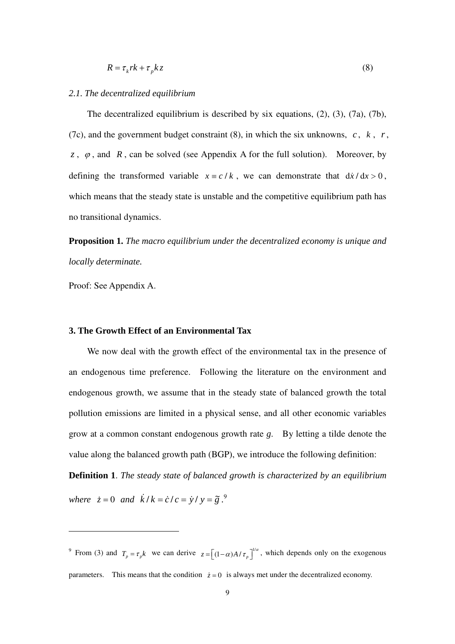$$
R = \tau_k r k + \tau_p k z \tag{8}
$$

#### *2.1. The decentralized equilibrium*

The decentralized equilibrium is described by six equations,  $(2)$ ,  $(3)$ ,  $(7a)$ ,  $(7b)$ , (7c), and the government budget constraint (8), in which the six unknowns,  $c, k, r$ , *z*,  $\varphi$ , and *R*, can be solved (see Appendix A for the full solution). Moreover, by defining the transformed variable  $x = c / k$ , we can demonstrate that  $dx / dx > 0$ , which means that the steady state is unstable and the competitive equilibrium path has no transitional dynamics.

**Proposition 1.** *The macro equilibrium under the decentralized economy is unique and locally determinate.* 

Proof: See Appendix A.

#### **3. The Growth Effect of an Environmental Tax**

We now deal with the growth effect of the environmental tax in the presence of an endogenous time preference. Following the literature on the environment and endogenous growth, we assume that in the steady state of balanced growth the total pollution emissions are limited in a physical sense, and all other economic variables grow at a common constant endogenous growth rate *g*. By letting a tilde denote the value along the balanced growth path (BGP), we introduce the following definition:

**Definition 1**. *The steady state of balanced growth is characterized by an equilibrium* 

*where*  $\dot{z} = 0$  *and*  $\dot{k}/k = \dot{c}/c = \dot{y}/y = \tilde{g}^0$ .

<sup>&</sup>lt;sup>9</sup> From (3) and  $T_p = \tau_p k$  we can derive  $z = \left[ (1 - \alpha) A / \tau_p \right]^{1/\alpha}$ , which depends only on the exogenous parameters. This means that the condition  $\dot{z} = 0$  is always met under the decentralized economy.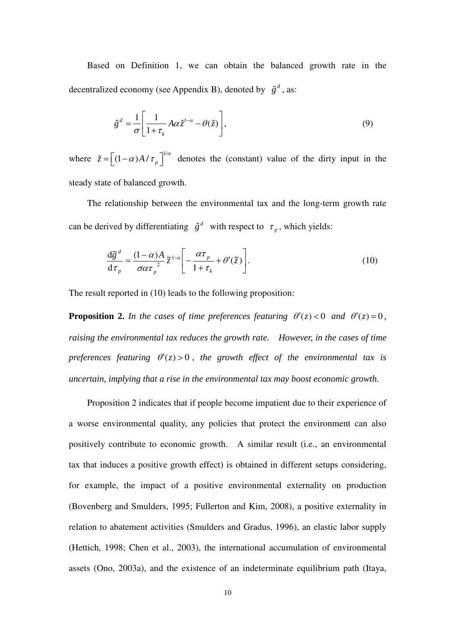Based on Definition 1, we can obtain the balanced growth rate in the decentralized economy (see Appendix B), denoted by  $\tilde{g}^d$ , as:

$$
\tilde{g}^d = \frac{1}{\sigma} \left[ \frac{1}{1 + \tau_k} A \alpha \tilde{z}^{1-\alpha} - \theta(\tilde{z}) \right],\tag{9}
$$

where  $\tilde{z} = \left[ (1-\alpha)A/\tau_p \right]^{1/\alpha}$  denotes the (constant) value of the dirty input in the steady state of balanced growth.

The relationship between the environmental tax and the long-term growth rate can be derived by differentiating  $\tilde{g}^d$  with respect to  $\tau_p$ , which yields:

$$
\frac{\mathrm{d}\tilde{g}^d}{\mathrm{d}\tau_p} = \frac{(1-\alpha)A}{\sigma\alpha\tau_p^2}\tilde{z}^{1-\alpha}\left[-\frac{\alpha\tau_p}{1+\tau_k} + \theta'(\tilde{z})\right].\tag{10}
$$

The result reported in (10) leads to the following proposition:

**Proposition 2.** *In the cases of time preferences featuring*  $\theta'(z) < 0$  *and*  $\theta'(z) = 0$ , *raising the environmental tax reduces the growth rate. However, in the cases of time preferences featuring*  $\theta'(z) > 0$ , the growth effect of the environmental tax is *uncertain, implying that a rise in the environmental tax may boost economic growth.* 

Proposition 2 indicates that if people become impatient due to their experience of a worse environmental quality, any policies that protect the environment can also positively contribute to economic growth. A similar result (i.e., an environmental tax that induces a positive growth effect) is obtained in different setups considering, for example, the impact of a positive environmental externality on production (Bovenberg and Smulders, 1995; Fullerton and Kim, 2008), a positive externality in relation to abatement activities (Smulders and Gradus, 1996), an elastic labor supply (Hettich, 1998; Chen et al., 2003), the international accumulation of environmental assets (Ono, 2003a), and the existence of an indeterminate equilibrium path (Itaya,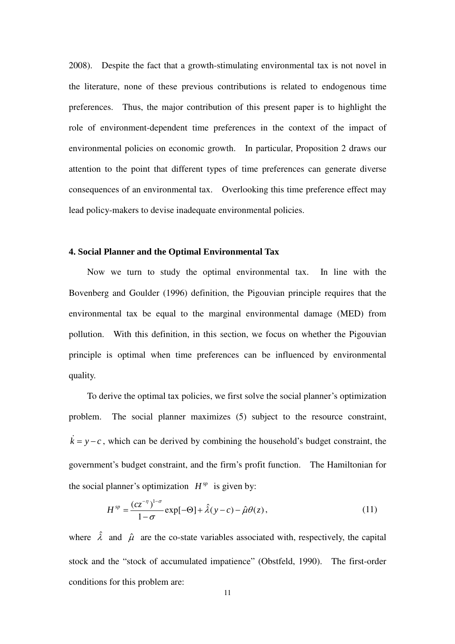2008). Despite the fact that a growth-stimulating environmental tax is not novel in the literature, none of these previous contributions is related to endogenous time preferences. Thus, the major contribution of this present paper is to highlight the role of environment-dependent time preferences in the context of the impact of environmental policies on economic growth. In particular, Proposition 2 draws our attention to the point that different types of time preferences can generate diverse consequences of an environmental tax. Overlooking this time preference effect may lead policy-makers to devise inadequate environmental policies.

#### **4. Social Planner and the Optimal Environmental Tax**

 Now we turn to study the optimal environmental tax. In line with the Bovenberg and Goulder (1996) definition, the Pigouvian principle requires that the environmental tax be equal to the marginal environmental damage (MED) from pollution. With this definition, in this section, we focus on whether the Pigouvian principle is optimal when time preferences can be influenced by environmental quality.

 To derive the optimal tax policies, we first solve the social planner's optimization problem. The social planner maximizes (5) subject to the resource constraint,  $\dot{k} = y - c$ , which can be derived by combining the household's budget constraint, the government's budget constraint, and the firm's profit function. The Hamiltonian for the social planner's optimization  $H^{sp}$  is given by:

$$
H^{sp} = \frac{(cz^{-\eta})^{1-\sigma}}{1-\sigma} \exp[-\Theta] + \hat{\lambda}(y-c) - \hat{\mu}\theta(z), \qquad (11)
$$

where  $\hat{\lambda}$  and  $\hat{\mu}$  are the co-state variables associated with, respectively, the capital stock and the "stock of accumulated impatience" (Obstfeld, 1990). The first-order conditions for this problem are: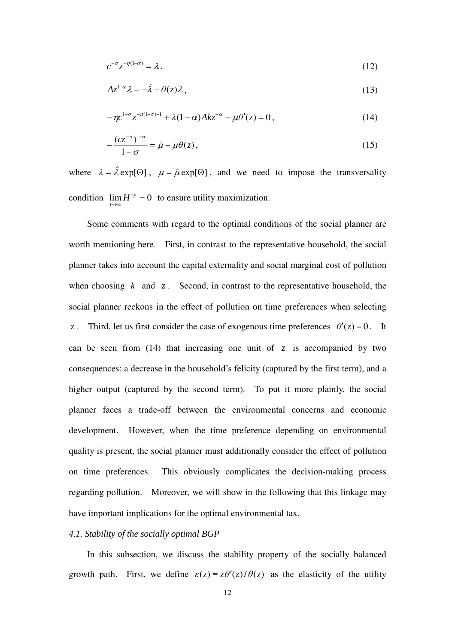$$
c^{-\sigma} z^{-\eta(1-\sigma)} = \lambda \,, \tag{12}
$$

$$
Az^{1-\alpha}\lambda = -\dot{\lambda} + \theta(z)\lambda\,,\tag{13}
$$

$$
-\eta c^{1-\sigma} z^{-\eta(1-\sigma)-1} + \lambda (1-\alpha) Ak z^{-\alpha} - \mu \theta'(z) = 0, \qquad (14)
$$

$$
-\frac{(cz^{-\eta})^{1-\sigma}}{1-\sigma} = \dot{\mu} - \mu\theta(z),\tag{15}
$$

where  $\lambda = \hat{\lambda} \exp[\Theta]$ ,  $\mu = \hat{\mu} \exp[\Theta]$ , and we need to impose the transversality condition  $\lim_{t \to \infty} H^{sp} = 0$  $H^{sp} = 0$  to ensure utility maximization. *t*

 Some comments with regard to the optimal conditions of the social planner are worth mentioning here. First, in contrast to the representative household, the social planner takes into account the capital externality and social marginal cost of pollution when choosing  $k$  and  $z$ . Second, in contrast to the representative household, the social planner reckons in the effect of pollution on time preferences when selecting *z* . Third, let us first consider the case of exogenous time preferences  $\theta'(z) = 0$ . It can be seen from (14) that increasing one unit of  $z$  is accompanied by two consequences: a decrease in the household's felicity (captured by the first term), and a higher output (captured by the second term). To put it more plainly, the social planner faces a trade-off between the environmental concerns and economic development. However, when the time preference depending on environmental quality is present, the social planner must additionally consider the effect of pollution on time preferences. This obviously complicates the decision-making process regarding pollution. Moreover, we will show in the following that this linkage may have important implications for the optimal environmental tax.

## *4.1. Stability of the socially optimal BGP*

In this subsection, we discuss the stability property of the socially balanced growth path. First, we define  $\varepsilon(z) = z\theta'(z)/\theta(z)$  as the elasticity of the utility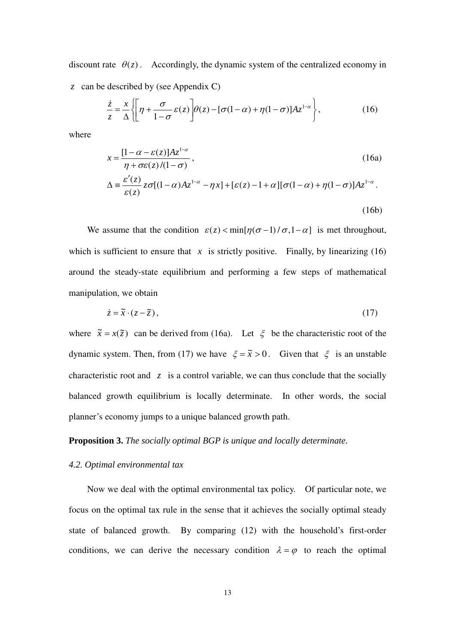discount rate  $\theta(z)$ . Accordingly, the dynamic system of the centralized economy in

*z* can be described by (see Appendix C)

$$
\frac{\dot{z}}{z} = \frac{x}{\Delta} \left\{ \left[ \eta + \frac{\sigma}{1 - \sigma} \varepsilon(z) \right] \theta(z) - [\sigma(1 - \alpha) + \eta(1 - \sigma)] Az^{1 - \alpha} \right\},\tag{16}
$$

where

$$
x = \frac{[1 - \alpha - \varepsilon(z)]Az^{1-\alpha}}{\eta + \sigma\varepsilon(z)/(1 - \sigma)},
$$
\n
$$
\Delta \equiv \frac{\varepsilon'(z)}{\varepsilon(z)} z\sigma[(1 - \alpha)Az^{1-\alpha} - \eta x] + [\varepsilon(z) - 1 + \alpha][\sigma(1 - \alpha) + \eta(1 - \sigma)]Az^{1-\alpha}.
$$
\n(16b)

We assume that the condition  $\varepsilon(z) < \min[\eta(\sigma-1)/\sigma, 1-\alpha]$  is met throughout, which is sufficient to ensure that  $x$  is strictly positive. Finally, by linearizing (16) around the steady-state equilibrium and performing a few steps of mathematical manipulation, we obtain

$$
\dot{z} = \tilde{x} \cdot (z - \tilde{z}),\tag{17}
$$

where  $\tilde{x} = x(\tilde{z})$  can be derived from (16a). Let  $\xi$  be the characteristic root of the dynamic system. Then, from (17) we have  $\xi = \tilde{x} > 0$ . Given that  $\xi$  is an unstable characteristic root and *z* is a control variable, we can thus conclude that the socially balanced growth equilibrium is locally determinate. In other words, the social planner's economy jumps to a unique balanced growth path.

# **Proposition 3.** *The socially optimal BGP is unique and locally determinate.*

## *4.2. Optimal environmental tax*

 Now we deal with the optimal environmental tax policy. Of particular note, we focus on the optimal tax rule in the sense that it achieves the socially optimal steady state of balanced growth. By comparing (12) with the household's first-order conditions, we can derive the necessary condition  $\lambda = \varphi$  to reach the optimal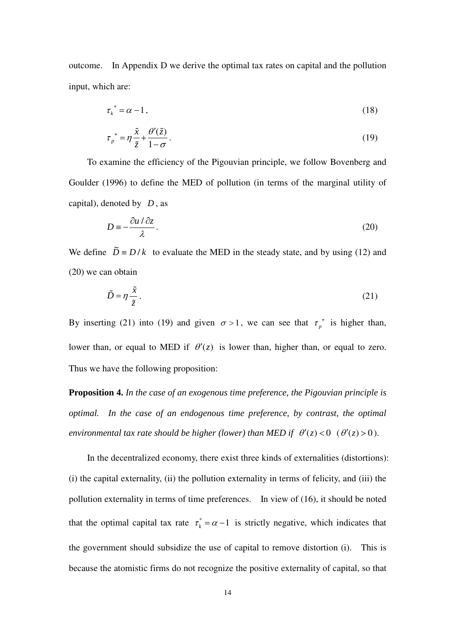outcome. In Appendix D we derive the optimal tax rates on capital and the pollution input, which are:

$$
\tau_k^* = \alpha - 1,\tag{18}
$$

$$
\tau_p^* = \eta \frac{\tilde{x}}{\tilde{z}} + \frac{\theta'(\tilde{z})}{1 - \sigma}.
$$
\n(19)

 To examine the efficiency of the Pigouvian principle, we follow Bovenberg and Goulder (1996) to define the MED of pollution (in terms of the marginal utility of capital), denoted by *D* , as

$$
D \equiv -\frac{\partial u}{\partial \lambda}.
$$
 (20)

We define  $\tilde{D} = D/k$  to evaluate the MED in the steady state, and by using (12) and (20) we can obtain

$$
\tilde{D} = \eta \frac{\tilde{x}}{\tilde{z}}.
$$
\n(21)

By inserting (21) into (19) and given  $\sigma > 1$ , we can see that  $\tau_p^*$  is higher than, lower than, or equal to MED if  $\theta'(z)$  is lower than, higher than, or equal to zero. Thus we have the following proposition:

**Proposition 4.** *In the case of an exogenous time preference, the Pigouvian principle is optimal. In the case of an endogenous time preference, by contrast, the optimal environmental tax rate should be higher (lower) than MED if*  $\theta'(z) < 0$   $(\theta'(z) > 0)$ .

In the decentralized economy, there exist three kinds of externalities (distortions): (i) the capital externality, (ii) the pollution externality in terms of felicity, and (iii) the pollution externality in terms of time preferences. In view of (16), it should be noted that the optimal capital tax rate  $\tau_k^* = \alpha - 1$  is strictly negative, which indicates that the government should subsidize the use of capital to remove distortion (i). This is because the atomistic firms do not recognize the positive externality of capital, so that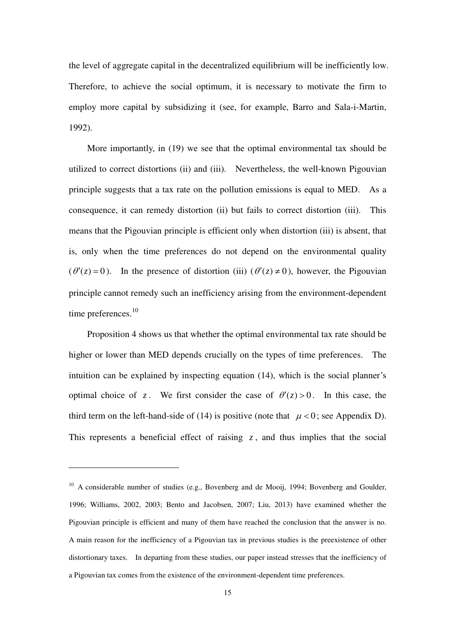the level of aggregate capital in the decentralized equilibrium will be inefficiently low. Therefore, to achieve the social optimum, it is necessary to motivate the firm to employ more capital by subsidizing it (see, for example, Barro and Sala-i-Martin, 1992).

More importantly, in (19) we see that the optimal environmental tax should be utilized to correct distortions (ii) and (iii). Nevertheless, the well-known Pigouvian principle suggests that a tax rate on the pollution emissions is equal to MED. As a consequence, it can remedy distortion (ii) but fails to correct distortion (iii). This means that the Pigouvian principle is efficient only when distortion (iii) is absent, that is, only when the time preferences do not depend on the environmental quality  $(\theta'(z) = 0)$ . In the presence of distortion (iii)  $(\theta'(z) \neq 0)$ , however, the Pigouvian principle cannot remedy such an inefficiency arising from the environment-dependent time preferences.<sup>10</sup>

Proposition 4 shows us that whether the optimal environmental tax rate should be higher or lower than MED depends crucially on the types of time preferences. The intuition can be explained by inspecting equation (14), which is the social planner's optimal choice of *z*. We first consider the case of  $\theta'(z) > 0$ . In this case, the third term on the left-hand-side of (14) is positive (note that  $\mu < 0$ ; see Appendix D). This represents a beneficial effect of raising  $z$ , and thus implies that the social

<sup>&</sup>lt;sup>10</sup> A considerable number of studies (e.g., Bovenberg and de Mooij, 1994; Bovenberg and Goulder, 1996; Williams, 2002, 2003; Bento and Jacobsen, 2007; Liu, 2013) have examined whether the Pigouvian principle is efficient and many of them have reached the conclusion that the answer is no. A main reason for the inefficiency of a Pigouvian tax in previous studies is the preexistence of other distortionary taxes. In departing from these studies, our paper instead stresses that the inefficiency of a Pigouvian tax comes from the existence of the environment-dependent time preferences.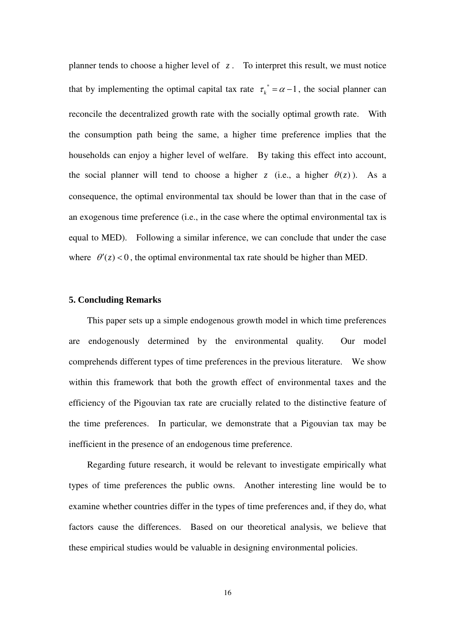planner tends to choose a higher level of *z* . To interpret this result, we must notice that by implementing the optimal capital tax rate  $\tau_k^* = \alpha - 1$ , the social planner can reconcile the decentralized growth rate with the socially optimal growth rate. With the consumption path being the same, a higher time preference implies that the households can enjoy a higher level of welfare. By taking this effect into account, the social planner will tend to choose a higher *z* (i.e., a higher  $\theta(z)$ ). As a consequence, the optimal environmental tax should be lower than that in the case of an exogenous time preference (i.e., in the case where the optimal environmental tax is equal to MED). Following a similar inference, we can conclude that under the case where  $\theta'(z) < 0$ , the optimal environmental tax rate should be higher than MED.

### **5. Concluding Remarks**

This paper sets up a simple endogenous growth model in which time preferences are endogenously determined by the environmental quality. Our model comprehends different types of time preferences in the previous literature. We show within this framework that both the growth effect of environmental taxes and the efficiency of the Pigouvian tax rate are crucially related to the distinctive feature of the time preferences. In particular, we demonstrate that a Pigouvian tax may be inefficient in the presence of an endogenous time preference.

Regarding future research, it would be relevant to investigate empirically what types of time preferences the public owns. Another interesting line would be to examine whether countries differ in the types of time preferences and, if they do, what factors cause the differences. Based on our theoretical analysis, we believe that these empirical studies would be valuable in designing environmental policies.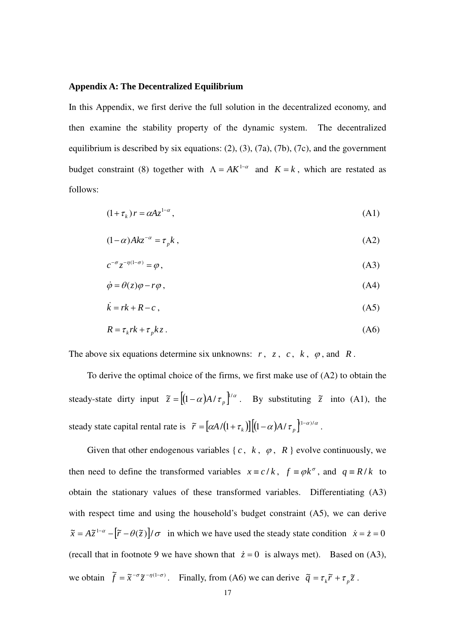#### **Appendix A: The Decentralized Equilibrium**

In this Appendix, we first derive the full solution in the decentralized economy, and then examine the stability property of the dynamic system. The decentralized equilibrium is described by six equations: (2), (3), (7a), (7b), (7c), and the government budget constraint (8) together with  $\Lambda = AK^{1-\alpha}$  and  $K = k$ , which are restated as follows:

$$
(1 + \tau_k) r = \alpha A z^{1 - \alpha}, \tag{A1}
$$

$$
(1 - \alpha) Akz^{-\alpha} = \tau_{p}k , \qquad (A2)
$$

$$
c^{-\sigma} z^{-\eta(1-\sigma)} = \varphi \,,\tag{A3}
$$

$$
\dot{\varphi} = \theta(z)\varphi - r\varphi ,\qquad (A4)
$$

$$
\dot{k} = rk + R - c \,,\tag{A5}
$$

$$
R = \tau_k r k + \tau_p k z. \tag{A6}
$$

The above six equations determine six unknowns:  $r$ ,  $z$ ,  $c$ ,  $k$ ,  $\varphi$ , and  $R$ .

 To derive the optimal choice of the firms, we first make use of (A2) to obtain the steady-state dirty input  $\tilde{z} = \left[ (1 - \alpha) A / \tau_p \right]^{1/\alpha}$ . By substituting  $\tilde{z}$  into (A1), the steady state capital rental rate is  $\tilde{r} = [\alpha A/(1 + \tau_k)][(1 - \alpha)A/\tau_p]^{(1 - \alpha)/\alpha}$ .

Given that other endogenous variables  $\{c, k, \varphi, R\}$  evolve continuously, we then need to define the transformed variables  $x = c/k$ ,  $f = \varphi k^{\sigma}$ , and  $q = R/k$  to obtain the stationary values of these transformed variables. Differentiating (A3) with respect time and using the household's budget constraint (A5), we can derive  $\tilde{x} = A\tilde{z}^{1-\alpha} - [\tilde{r} - \theta(\tilde{z})] / \sigma$  in which we have used the steady state condition  $\dot{x} = \dot{z} = 0$ (recall that in footnote 9 we have shown that  $\dot{z} = 0$  is always met). Based on (A3), we obtain  $\tilde{f} = \tilde{x}^{-\sigma} \tilde{z}^{-\eta(1-\sigma)}$ . Finally, from (A6) we can derive  $\tilde{q} = \tau_k \tilde{r} + \tau_p \tilde{z}$ .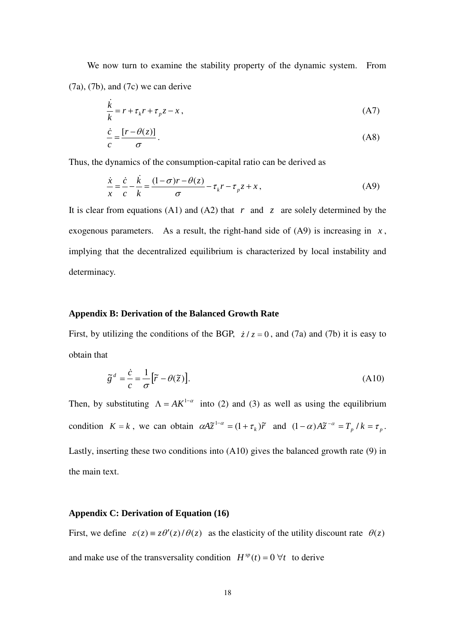We now turn to examine the stability property of the dynamic system. From (7a), (7b), and (7c) we can derive

$$
\frac{\dot{k}}{k} = r + \tau_k r + \tau_p z - x \,,\tag{A7}
$$

$$
\frac{\dot{c}}{c} = \frac{[r - \theta(z)]}{\sigma}.
$$
\n(A8)

Thus, the dynamics of the consumption-capital ratio can be derived as

$$
\frac{\dot{x}}{x} = \frac{\dot{c}}{c} - \frac{\dot{k}}{k} = \frac{(1 - \sigma)r - \theta(z)}{\sigma} - \tau_k r - \tau_p z + x,\tag{A9}
$$

It is clear from equations (A1) and (A2) that  $r$  and  $z$  are solely determined by the exogenous parameters. As a result, the right-hand side of  $(A9)$  is increasing in  $x$ , implying that the decentralized equilibrium is characterized by local instability and determinacy.

## **Appendix B: Derivation of the Balanced Growth Rate**

First, by utilizing the conditions of the BGP,  $\dot{z}/z = 0$ , and (7a) and (7b) it is easy to obtain that

$$
\tilde{g}^d = \frac{\dot{c}}{c} = \frac{1}{\sigma} [\tilde{r} - \theta(\tilde{z})].
$$
\n(A10)

Then, by substituting  $\Lambda = AK^{1-\alpha}$  into (2) and (3) as well as using the equilibrium condition  $K = k$ , we can obtain  $\alpha A \tilde{z}^{1-\alpha} = (1 + \tau_k) \tilde{r}$  and  $(1 - \alpha) A \tilde{z}^{-\alpha} = T_p / k = \tau_p$ . Lastly, inserting these two conditions into (A10) gives the balanced growth rate (9) in the main text.

#### **Appendix C: Derivation of Equation (16)**

First, we define  $\varepsilon(z) = z\theta'(z)/\theta(z)$  as the elasticity of the utility discount rate  $\theta(z)$ and make use of the transversality condition  $H^{sp}(t) = 0 \,\forall t$  to derive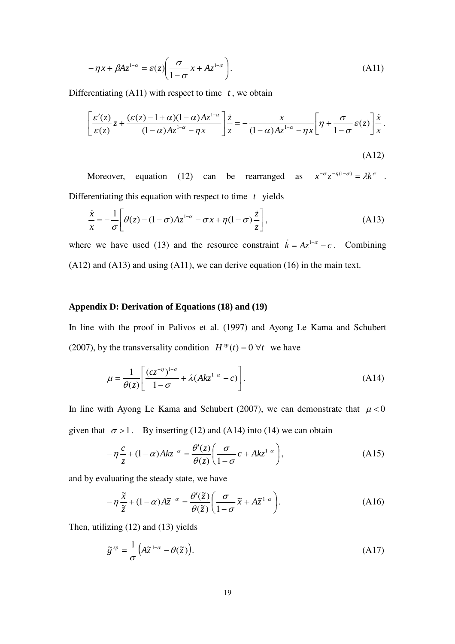$$
-\eta x + \beta A z^{1-\alpha} = \varepsilon(z) \left( \frac{\sigma}{1-\sigma} x + A z^{1-\alpha} \right). \tag{A11}
$$

Differentiating  $(A11)$  with respect to time  $t$ , we obtain

$$
\left[\frac{\varepsilon'(z)}{\varepsilon(z)}z + \frac{(\varepsilon(z) - 1 + \alpha)(1 - \alpha)Az^{1 - \alpha}}{(1 - \alpha)Az^{1 - \alpha} - \eta x}\right]\frac{\dot{z}}{z} = -\frac{x}{(1 - \alpha)Az^{1 - \alpha} - \eta x}\left[\eta + \frac{\sigma}{1 - \sigma}\varepsilon(z)\right]\frac{\dot{x}}{x}.
$$
\n(A12)

Moreover, equation (12) can be rearranged as  $x^{-\sigma}z^{-\eta(1-\sigma)} = \lambda k^{\sigma}$ . Differentiating this equation with respect to time *t* yields

$$
\frac{\dot{x}}{x} = -\frac{1}{\sigma} \left[ \theta(z) - (1 - \sigma)Az^{1-\alpha} - \sigma x + \eta(1 - \sigma) \frac{\dot{z}}{z} \right],
$$
\n(A13)

where we have used (13) and the resource constraint  $\vec{k} = Az^{1-\alpha} - c$ . Combining (A12) and (A13) and using (A11), we can derive equation (16) in the main text.

## **Appendix D: Derivation of Equations (18) and (19)**

In line with the proof in Palivos et al. (1997) and Ayong Le Kama and Schubert (2007), by the transversality condition  $H^{sp}(t) = 0 \ \forall t$  we have

$$
\mu = \frac{1}{\theta(z)} \left[ \frac{(cz^{-\eta})^{1-\sigma}}{1-\sigma} + \lambda(Akz^{1-\alpha} - c) \right].
$$
\n(A14)

In line with Ayong Le Kama and Schubert (2007), we can demonstrate that  $\mu < 0$ given that  $\sigma > 1$ . By inserting (12) and (A14) into (14) we can obtain

$$
-\eta \frac{c}{z} + (1 - \alpha)Akz^{-\alpha} = \frac{\theta'(z)}{\theta(z)} \left(\frac{\sigma}{1 - \sigma} c + Akz^{1 - \alpha}\right),\tag{A15}
$$

and by evaluating the steady state, we have

$$
-\eta \frac{\tilde{x}}{\tilde{z}} + (1 - \alpha)A\tilde{z}^{-\alpha} = \frac{\theta'(\tilde{z})}{\theta(\tilde{z})} \left(\frac{\sigma}{1 - \sigma} \tilde{x} + A\tilde{z}^{1 - \alpha}\right).
$$
 (A16)

Then, utilizing (12) and (13) yields

$$
\tilde{g}^{sp} = \frac{1}{\sigma} \left( A \tilde{z}^{1-\alpha} - \theta(\tilde{z}) \right). \tag{A17}
$$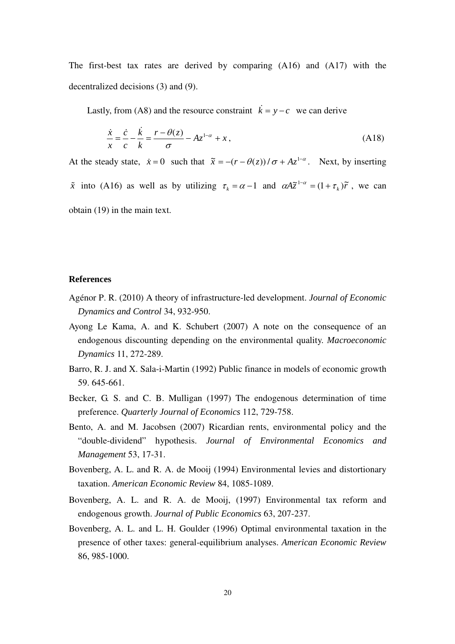The first-best tax rates are derived by comparing (A16) and (A17) with the decentralized decisions (3) and (9).

Lastly, from (A8) and the resource constraint  $\vec{k} = y - c$  we can derive

$$
\frac{\dot{x}}{x} = \frac{\dot{c}}{c} - \frac{\dot{k}}{k} = \frac{r - \theta(z)}{\sigma} - Az^{1-\alpha} + x\,,\tag{A18}
$$

At the steady state,  $\dot{x} = 0$  such that  $\tilde{x} = -(r - \theta(z))/\sigma + Az^{1-\alpha}$ . Next, by inserting  $\tilde{x}$  into (A16) as well as by utilizing  $\tau_k = \alpha - 1$  and  $\alpha A \tilde{z}^{1-\alpha} = (1 + \tau_k) \tilde{r}$ , we can obtain (19) in the main text.

#### **References**

- Agénor P. R. (2010) A theory of infrastructure-led development. *Journal of Economic Dynamics and Control* 34, 932-950.
- Ayong Le Kama, A. and K. Schubert (2007) A note on the consequence of an endogenous discounting depending on the environmental quality. *Macroeconomic Dynamics* 11, 272-289.
- Barro, R. J. and X. Sala-i-Martin (1992) Public finance in models of economic growth 59. 645-661.
- Becker, G. S. and C. B. Mulligan (1997) The endogenous determination of time preference. *Quarterly Journal of Economics* 112, 729-758.
- Bento, A. and M. Jacobsen (2007) Ricardian rents, environmental policy and the "double-dividend" hypothesis. *Journal of Environmental Economics and Management* 53, 17-31.
- Bovenberg, A. L. and R. A. de Mooij (1994) Environmental levies and distortionary taxation. *American Economic Review* 84, 1085-1089.
- Bovenberg, A. L. and R. A. de Mooij, (1997) Environmental tax reform and endogenous growth. *Journal of Public Economics* 63, 207-237.
- Bovenberg, A. L. and L. H. Goulder (1996) Optimal environmental taxation in the presence of other taxes: general-equilibrium analyses. *American Economic Review*  86, 985-1000.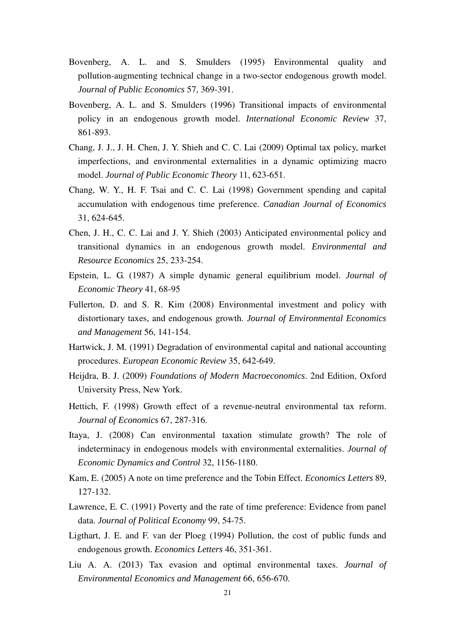- Bovenberg, A. L. and S. Smulders (1995) Environmental quality and pollution-augmenting technical change in a two-sector endogenous growth model. *Journal of Public Economics* 57, 369-391.
- Bovenberg, A. L. and S. Smulders (1996) Transitional impacts of environmental policy in an endogenous growth model. *International Economic Review* 37, 861-893.
- Chang, J. J., J. H. Chen, J. Y. Shieh and C. C. Lai (2009) Optimal tax policy, market imperfections, and environmental externalities in a dynamic optimizing macro model. *Journal of Public Economic Theory* 11, 623-651.
- Chang, W. Y., H. F. Tsai and C. C. Lai (1998) Government spending and capital accumulation with endogenous time preference. *Canadian Journal of Economics* 31, 624-645.
- Chen, J. H., C. C. Lai and J. Y. Shieh (2003) Anticipated environmental policy and transitional dynamics in an endogenous growth model. *Environmental and Resource Economics* 25, 233-254.
- Epstein, L. G. (1987) A simple dynamic general equilibrium model. *Journal of Economic Theory* 41, 68-95
- Fullerton, D. and S. R. Kim (2008) Environmental investment and policy with distortionary taxes, and endogenous growth. *Journal of Environmental Economics and Management* 56, 141-154.
- Hartwick, J. M. (1991) Degradation of environmental capital and national accounting procedures. *European Economic Review* 35, 642-649.
- Heijdra, B. J. (2009) *Foundations of Modern Macroeconomics*. 2nd Edition, Oxford University Press, New York.
- Hettich, F. (1998) Growth effect of a revenue-neutral environmental tax reform. *Journal of Economics* 67, 287-316.
- Itaya, J. (2008) Can environmental taxation stimulate growth? The role of indeterminacy in endogenous models with environmental externalities. *Journal of Economic Dynamics and Control* 32, 1156-1180.
- Kam, E. (2005) A note on time preference and the Tobin Effect. *Economics Letters* 89, 127-132.
- Lawrence, E. C. (1991) Poverty and the rate of time preference: Evidence from panel data. *Journal of Political Economy* 99, 54-75.
- Ligthart, J. E. and F. van der Ploeg (1994) Pollution, the cost of public funds and endogenous growth. *Economics Letters* 46, 351-361.
- Liu A. A. (2013) Tax evasion and optimal environmental taxes. *Journal of Environmental Economics and Management* 66, 656-670.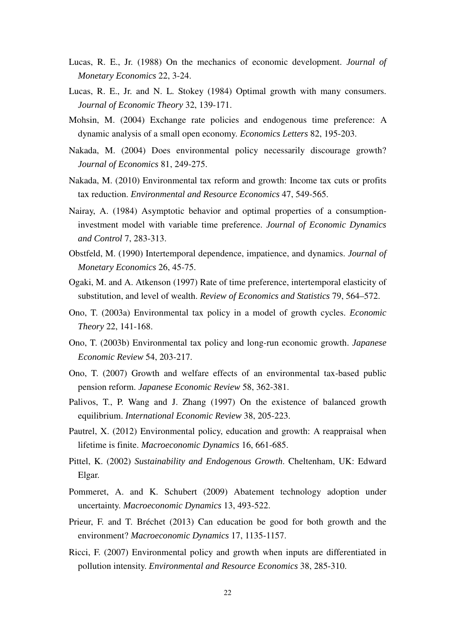- Lucas, R. E., Jr. (1988) On the mechanics of economic development. *Journal of Monetary Economics* 22, 3-24.
- Lucas, R. E., Jr. and N. L. Stokey (1984) Optimal growth with many consumers. *Journal of Economic Theory* 32, 139-171.
- Mohsin, M. (2004) Exchange rate policies and endogenous time preference: A dynamic analysis of a small open economy. *Economics Letters* 82, 195-203.
- Nakada, M. (2004) Does environmental policy necessarily discourage growth? *Journal of Economics* 81, 249-275.
- Nakada, M. (2010) Environmental tax reform and growth: Income tax cuts or profits tax reduction. *Environmental and Resource Economics* 47, 549-565.
- Nairay, A. (1984) Asymptotic behavior and optimal properties of a consumptioninvestment model with variable time preference. *Journal of Economic Dynamics and Control* 7, 283-313.
- Obstfeld, M. (1990) Intertemporal dependence, impatience, and dynamics. *Journal of Monetary Economics* 26, 45-75.
- Ogaki, M. and A. Atkenson (1997) Rate of time preference, intertemporal elasticity of substitution, and level of wealth. *Review of Economics and Statistics* 79, 564–572.
- Ono, T. (2003a) Environmental tax policy in a model of growth cycles. *Economic Theory* 22, 141-168.
- Ono, T. (2003b) Environmental tax policy and long-run economic growth. *Japanese Economic Review* 54, 203-217.
- Ono, T. (2007) Growth and welfare effects of an environmental tax-based public pension reform. *Japanese Economic Review* 58, 362-381.
- Palivos, T., P. Wang and J. Zhang (1997) On the existence of balanced growth equilibrium. *International Economic Review* 38, 205-223.
- Pautrel, X. (2012) Environmental policy, education and growth: A reappraisal when lifetime is finite. *Macroeconomic Dynamics* 16, 661-685.
- Pittel, K. (2002) *Sustainability and Endogenous Growth*. Cheltenham, UK: Edward Elgar.
- Pommeret, A. and K. Schubert (2009) Abatement technology adoption under uncertainty. *Macroeconomic Dynamics* 13, 493-522.
- Prieur, F. and T. Bréchet (2013) Can education be good for both growth and the environment? *Macroeconomic Dynamics* 17, 1135-1157.
- Ricci, F. (2007) Environmental policy and growth when inputs are differentiated in pollution intensity. *Environmental and Resource Economics* 38, 285-310.